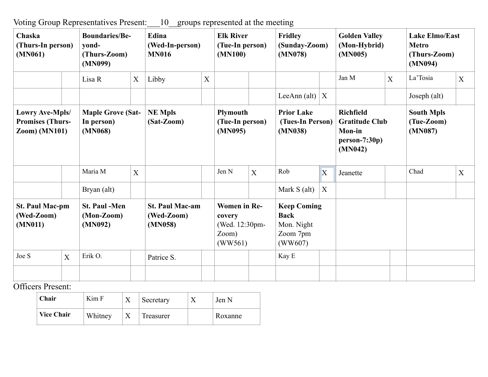Voting Group Representatives Present:\_\_\_10\_\_groups represented at the meeting

| Chaska<br>(Thurs-In person)<br>(MN061)                                    |   | <b>Boundaries/Be-</b><br>vond-<br>(Thurs-Zoom)<br>(MN099) |   | Edina<br>(Wed-In-person)<br><b>MN016</b>        |   | <b>Elk River</b><br>(Tue-In person)<br>(MN100)                      |                | Fridley<br>(Sunday-Zoom)<br>(MN078)                                    |   | <b>Golden Valley</b><br>(Mon-Hybrid)<br>(MN005)                                          |   | <b>Lake Elmo/East</b><br><b>Metro</b><br>(Thurs-Zoom)<br>(MN094) |   |
|---------------------------------------------------------------------------|---|-----------------------------------------------------------|---|-------------------------------------------------|---|---------------------------------------------------------------------|----------------|------------------------------------------------------------------------|---|------------------------------------------------------------------------------------------|---|------------------------------------------------------------------|---|
|                                                                           |   | Lisa R                                                    | X | Libby                                           | X |                                                                     |                |                                                                        |   | Jan M                                                                                    | X | La'Tosia                                                         | X |
|                                                                           |   |                                                           |   |                                                 |   |                                                                     |                | LeeAnn (alt) $ X $                                                     |   |                                                                                          |   | Joseph (alt)                                                     |   |
| <b>Lowry Ave-Mpls/</b><br><b>Promises (Thurs-</b><br><b>Zoom)</b> (MN101) |   | <b>Maple Grove (Sat-</b><br>In person)<br>(MN068)         |   | <b>NE Mpls</b><br>$(Sat-Zoom)$                  |   | <b>Plymouth</b><br>(Tue-In person)<br>(MN095)                       |                | <b>Prior Lake</b><br>(Tues-In Person)<br>(MN038)                       |   | <b>Richfield</b><br><b>Gratitude Club</b><br><b>Mon-in</b><br>$person-7:30p)$<br>(MN042) |   | <b>South Mpls</b><br>(Tue-Zoom)<br>(MN087)                       |   |
|                                                                           |   | Maria M                                                   | X |                                                 |   | Jen N                                                               | $\overline{X}$ | Rob                                                                    | X | Jeanette                                                                                 |   | Chad                                                             | X |
|                                                                           |   | Bryan (alt)                                               |   |                                                 |   |                                                                     |                | Mark S (alt)                                                           | X |                                                                                          |   |                                                                  |   |
| <b>St. Paul Mac-pm</b><br>(Wed-Zoom)<br>(MN011)                           |   | <b>St. Paul -Men</b><br>$(Mon-Zoom)$<br>(MN092)           |   | <b>St. Paul Mac-am</b><br>(Wed-Zoom)<br>(MN058) |   | <b>Women</b> in Re-<br>covery<br>(Wed. 12:30pm-<br>Zoom)<br>(WW561) |                | <b>Keep Coming</b><br><b>Back</b><br>Mon. Night<br>Zoom 7pm<br>(WW607) |   |                                                                                          |   |                                                                  |   |
| Joe S                                                                     | X | Erik O.                                                   |   | Patrice S.                                      |   |                                                                     |                | Kay E                                                                  |   |                                                                                          |   |                                                                  |   |
|                                                                           |   |                                                           |   |                                                 |   |                                                                     |                |                                                                        |   |                                                                                          |   |                                                                  |   |

Officers Present:

| Chair             | Kim F   | л | Secretary | Jen N   |
|-------------------|---------|---|-----------|---------|
| <b>Vice Chair</b> | Whitney |   | Treasurer | Roxanne |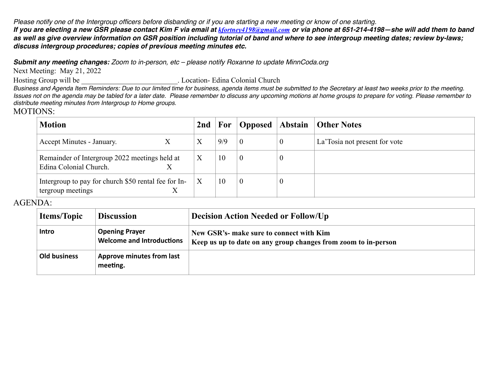*Please notify one of the Intergroup officers before disbanding or if you are starting a new meeting or know of one starting. If you are electing a new GSR please contact Kim F via email at [kfortney4198@gmail.com](mailto:kfortney4198@gmail.com) or via phone at 651-214-4198—she will add them to band as well as give overview information on GSR position including tutorial of band and where to see intergroup meeting dates; review by-laws; discuss intergroup procedures; copies of previous meeting minutes etc.* 

*Submit any meeting changes: Zoom to in-person, etc – please notify Roxanne to update MinnCoda.org*

Next Meeting: May 21, 2022

Hosting Group will be <br> Location- Edina Colonial Church

*Business and Agenda Item Reminders: Due to our limited time for business, agenda items must be submitted to the Secretary at least two weeks prior to the meeting. Issues not on the agenda may be tabled for a later date. Please remember to discuss any upcoming motions at home groups to prepare for voting. Please remember to distribute meeting minutes from Intergroup to Home groups.*

## MOTIONS:

| <b>Motion</b>                                                                  | 2nd | For | Opposed Abstain  |                  | <b>Other Notes</b>            |
|--------------------------------------------------------------------------------|-----|-----|------------------|------------------|-------------------------------|
| Accept Minutes - January.                                                      | Χ   | 9/9 | $\boldsymbol{0}$ | $\boldsymbol{0}$ | La Tosia not present for vote |
| Remainder of Intergroup 2022 meetings held at<br>Edina Colonial Church.        | X   | 10  | $\boldsymbol{0}$ | $\boldsymbol{0}$ |                               |
| Intergroup to pay for church \$50 rental fee for In-<br>tergroup meetings<br>Х | X   | 10  | $\overline{0}$   | U                |                               |

## AGENDA:

| <b>Items/Topic</b><br><b>Discussion</b>                             |  | <b>Decision Action Needed or Follow/Up</b>                                                                 |  |  |
|---------------------------------------------------------------------|--|------------------------------------------------------------------------------------------------------------|--|--|
| <b>Opening Prayer</b><br>Intro<br><b>Welcome and Introductions</b>  |  | New GSR's- make sure to connect with Kim<br>Keep us up to date on any group changes from zoom to in-person |  |  |
| <b>Old business</b><br><b>Approve minutes from last</b><br>meeting. |  |                                                                                                            |  |  |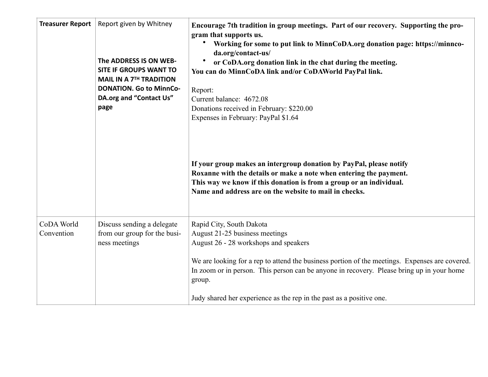| <b>Treasurer Report</b>  | Report given by Whitney<br>The ADDRESS IS ON WEB-<br><b>SITE IF GROUPS WANT TO</b><br><b>MAIL IN A 7TH TRADITION</b><br><b>DONATION. Go to MinnCo-</b><br>DA.org and "Contact Us"<br>page | Encourage 7th tradition in group meetings. Part of our recovery. Supporting the pro-<br>gram that supports us.<br>Working for some to put link to MinnCoDA.org donation page: https://minnco-<br>da.org/contact-us/<br>or CoDA.org donation link in the chat during the meeting.<br>You can do MinnCoDA link and/or CoDAWorld PayPal link.<br>Report:<br>Current balance: 4672.08<br>Donations received in February: \$220.00<br>Expenses in February: PayPal \$1.64<br>If your group makes an intergroup donation by PayPal, please notify<br>Roxanne with the details or make a note when entering the payment.<br>This way we know if this donation is from a group or an individual.<br>Name and address are on the website to mail in checks. |
|--------------------------|-------------------------------------------------------------------------------------------------------------------------------------------------------------------------------------------|----------------------------------------------------------------------------------------------------------------------------------------------------------------------------------------------------------------------------------------------------------------------------------------------------------------------------------------------------------------------------------------------------------------------------------------------------------------------------------------------------------------------------------------------------------------------------------------------------------------------------------------------------------------------------------------------------------------------------------------------------|
| CoDA World<br>Convention | Discuss sending a delegate<br>from our group for the busi-<br>ness meetings                                                                                                               | Rapid City, South Dakota<br>August 21-25 business meetings<br>August 26 - 28 workshops and speakers<br>We are looking for a rep to attend the business portion of the meetings. Expenses are covered.<br>In zoom or in person. This person can be anyone in recovery. Please bring up in your home<br>group.<br>Judy shared her experience as the rep in the past as a positive one.                                                                                                                                                                                                                                                                                                                                                               |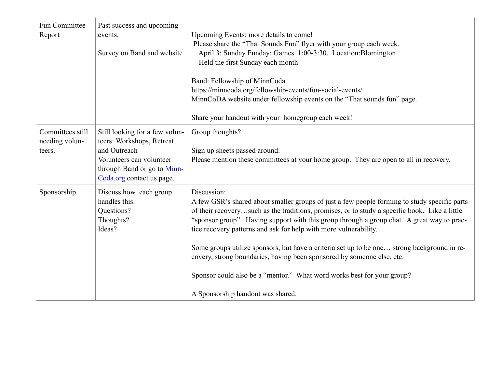| Fun Committee<br>Report                      | Past success and upcoming<br>events.<br>Survey on Band and website                                                                                                  | Upcoming Events: more details to come!<br>Please share the "That Sounds Fun" flyer with your group each week.<br>April 3: Sunday Funday: Games. 1:00-3:30. Location: Blomington<br>Held the first Sunday each month<br>Band: Fellowship of MinnCoda<br>https://minncoda.org/fellowship-events/fun-social-events/.<br>MinnCoDA website under fellowship events on the "That sounds fun" page.<br>Share your handout with your homegroup each week!                                                                                                                                                                                                                      |
|----------------------------------------------|---------------------------------------------------------------------------------------------------------------------------------------------------------------------|------------------------------------------------------------------------------------------------------------------------------------------------------------------------------------------------------------------------------------------------------------------------------------------------------------------------------------------------------------------------------------------------------------------------------------------------------------------------------------------------------------------------------------------------------------------------------------------------------------------------------------------------------------------------|
| Committees still<br>needing volun-<br>teers. | Still looking for a few volun-<br>teers: Workshops, Retreat<br>and Outreach<br>Volunteers can volunteer<br>through Band or go to Minn-<br>Coda.org contact us page. | Group thoughts?<br>Sign up sheets passed around.<br>Please mention these committees at your home group. They are open to all in recovery.                                                                                                                                                                                                                                                                                                                                                                                                                                                                                                                              |
| Sponsorship                                  | Discuss how each group<br>handles this.<br>Questions?<br>Thoughts?<br>Ideas?                                                                                        | Discussion:<br>A few GSR's shared about smaller groups of just a few people forming to study specific parts<br>of their recoverysuch as the traditions, promises, or to study a specific book. Like a little<br>"sponsor group". Having support with this group through a group chat. A great way to prac-<br>tice recovery patterns and ask for help with more vulnerability.<br>Some groups utilize sponsors, but have a criteria set up to be one strong background in re-<br>covery, strong boundaries, having been sponsored by someone else, etc.<br>Sponsor could also be a "mentor." What word works best for your group?<br>A Sponsorship handout was shared. |